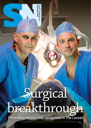# Surgical breakthrough Pioneering dialysis trial recognised in *The Lancet*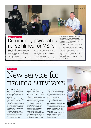

#### MENTAL HEALTH PRIORITY

## Community psychiatric nurse filmed for MSPs

COMMUNITY psychiatric nurse Mark Connelly has been drafted in by the Royal College of Nursing (RCN) to help bring Scotland's MSPs up to speed on community mental health services.

Mental health has been declared a national

priority for the government so the RCN commissioned a series of films to show to parliamentarians featuring community psychiatric nurses from various boards throughout the country.

Mark, who is based in the Belmont Centre

in the grounds of Stobhill Hospital, was selected to be the focus of a short film depicting his work providing support for older people with mental health issues and supporting their families.

The films featuring Mark and his peers will be screened next month at a Holyrood reception during an RCN Scotland event and then used as educational resources more widely.

Mark said: "You have to be a good communicator in mental health nursing and I particularly enjoy the diversity of my job.

"People aged over 65 can have myriad health issues, which can make care complex and challenging."

#### PATIENT SERVICES

# New service for trauma survivors

#### PSYCHOLOGICAL trauma

experts from five different sites have been brought together to deliver a dedicated new specialist mental health service based in Glasgow.

Consultant clinical psychologist Dr Lisa Reynolds leads the 27-strong trauma team, who specialise in supporting survivors of complex traumatic events such as childhood abuse, war, human trafficking, major incidents and domestic abuse.

Based in the Anchor Centre in Govan, they will be resourced to see more than 600 patients a year via referrals from community mental health

teams, GPs and accident and emergency departments.

The staff in the new service have been involved in a major training programme to enable more community-based staff to spot the signs of trauma and decide on appropriate treatment or referral route for the individual patient.

Dr Reynolds told *SN*: "By coming together as one team of specialists, and pooling our resources, we are better able to deliver this vital service to extremely vulnerable people."

Following the Clutha helicopter crash and the bin lorry incident in George Square, Dr Reynolds was one of the first to be called in to

help the victims to cope.

Within the team there is also a lot of experience in working with young people, homeless individuals and female offenders, all of whom have an increased risk of experiencing severe trauma.

Dr Reynolds added: "When people experience traumatic events, they respond in different ways and their needs can be quite diverse.

"Complex traumatic experiences can have an impact on survivors' mental health and psychological functioning.

"At the Anchor, these patients will have easy access to high quality, evidence-based treatments and interventions."

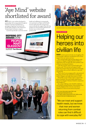INNOVATION AWARD

# 'Aye Mind' website shortlisted for award

AYE Mind, a new website developed in partnership with young people throughout NHSGGC has been shortlisted for a prestigious Inspiring City Award with People Make Glasgow in the Industry & Young People Innovation category.

Launched specifically to promote mental

health and wellbeing in young people, www.ayemind.com helps mental health services staff work with young service users to identify the support they felt they needed, how this should be delivered and the best way to inform health professionals.







Joey Barton (back row, centre) meets group members

#### VETERAN SUPPORT

# Helping our heroes into civilian life

MANY ex-forces personnel who are struggling with mental health, addictions and lifestyle issues receive support from our various services.

Now mental health staff are being asked to refer veterans to Glasgow's Helping Heroes (GHH), an organisation that can help with other problems such as finance, housing and isolation.

Colin McCormack, head of mental health adult services, said: "We can treat and support health needs, but we know that men and women returning from combat roles can find it difficult to cope with everyday life.

"This is why I'm encouraging staff to ask patients if they have served in the armed forces and live and work in Glasgow, and make them aware of GHH."

Meanwhile, as part of their work to support this group of patients, the south health improvement team set up Glasgow Veterans United in conjunction with Rangers FC.

It's a course offering a mix of health workshops and football coaching training. Group members were recently delighted when Gers star Joey Barton dropped in to find out more about the project.

**>>** For more information about GHH, visit:

www.glasgowshelpingheroes.org.

**>>** To make a referral, phone 0141 276 7199 or email: glasgowshelpingheroes@glasgow.gov.uk

"We can treat and support health needs, but we know

that men and women returning from combat roles can find it difficult to cope with everyday life"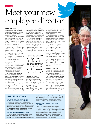Chair of the Area Joint Trade Unions and Professional Organisations Committee This committee consists of all lay delegates and full-time officials associated with those who sit on the Board's Area Partnership Forum (APF). The committee aims to find unity of purpose, consensus and agreed priorities for the staff side to take forward with the Board and the senior management team.

Joint chair of the Area Partnership Forum The APF consists of representatives from 16 trades unions and professional organisations and also members of the senior executive management team of the Board. This is a vital forum where issues affecting staff terms and conditions, proposed service changes and strategic planning are discussed and debated enabling all parties to be fully involved and engaged.

#### Non-executive employee director of the NHSGGC Board

Dorothy joins the Board but she is not directly mandated to voice the opinions of the APF or any unions or organisations. Her role and remit is the same as all other non-executive directors, which is to oversee governance and scrutiny of decisions and services. But clearly, as an employee director, there is a role to articulate the voice of staff and raise related issues or provide insight to the rest of the Board.

Meet your new

centres working in both clinics and in patients' homes, with a brief period in the acute division of NHS Lanarkshire.

**#NHSGGCstaff**

Her skill as a leader and organiser was soon realised by her peers and Dorothy was selected as a staff-side rep for the Society of Chiropodists and Podiatrists (SCP) – a position she has held since 2002.

In 2008, Dorothy was elected as staff-side secretary of the Joint Trade Unions and Professional Organisations and re-elected unopposed in 2012.

As well as being co-chair of the Staff Partnership Forum for Glasgow City Health and Social Care Partnership, she is also the Scottish convenor for podiatry reps in Scotland. A founder member of the Knightscliffe Temple Community Credit Union 24 years ago, Dorothy remains a Board director and volunteer.

#### MUM WITH A MISSION

Outside of work, Dorothy has been married for 29 years and is mum to three grown-up children.

She begins her day with an early walk which she regards as "her time" before the buzz of the working day takes over. Her hobbies include pottering in the garden.

"I also love to read and to travel and see new places both in the UK and abroad, but my favourite way of spending leisure time is with friends and family – they are my sounding board and a constant support."

# on the Gartnaval campus, *SN* caught employee director

DOROTHY McErlean has always been passionate about delivering healthcare. She is equally passionate about equality, social justice and partnership working.

For these reasons she has won the unanimous support of her peers in the Area Partnership Forum (APF) and been elected as chair of the Joint Trade Unions and Professional Organisations Committee.

Dorothy becomes the joint chair of the NHSGGC APF – alongside our chief executive Robert Calderwood – and has been appointed to our Board as the non-executive employee director by Health Secretary Shona Robison MSP from 1 October.

This is the first time we have had a female staff-side chair and employee director – the previous two post-holders being Bill Goudie and Donald Sime.

Both men were elected by Amicus/ Unite and Dorothy is also breaking that mould by being elected from one of the smaller professional organisations – The Society of Chiropodists and Podiatrists.

"It's an exciting and challenging time," said Dorothy as Scotland prepares for public sector reform that could see major changes to NHS Board structures and the continued development of Health and Social Care Partnerships.

Dorothy is well placed to deal with the tasks ahead in her new role. She is a highly respected individual with a wealth of experience as a podiatrist.

As she took up office in Board HQ

**DOROTHY'S THREE NEW ROLES:**

#### her tick: "Staff governance and dignity at work inspire me. It is so important that staff feel valued and that they want to come to work. "They should be confident they have a voice and that it will be heard, and that our strong staff-side

relationship with senior management on the APF ensures that is the case." Dorothy added: "I believe in

up with her to discover what makes

involvement and motivation and believe strongly that staff who are happy at work deliver a better service to our service users."

"Staff governance and dignity at work inspire me. It is so important that staff feel valued and that they want to come to work"

#### PODIATRY GRADUATE

Dorothy graduated from the Glasgow School of Chiropody in 1982 and joined Ayrshire and Arran Health Board before moving to NHS Lanarkshire and then NHS Greater Glasgow in 1997.

Throughout her NHS career, Dorothy has been based mostly in community-based health

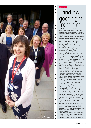

#### LONG CAREER

# ...and it's goodnight from him

DONALD Sime is one of the "best kent" faces in Greater Glasgow and Clyde, having been at the helm of staff-side partnership working and ensuring the staff voice is heard at board level for the past 11 years.

He was right at the heart of the restructuring challenges during the merger of Clyde into Greater Glasgow. He was heavily involved in the long and complicated Agenda for Change process. He was part of the move toward integrated Community Health and Care Partnerships (forerunners to the current Health and Social Care Partnerships).

And he was in post ensuring the staff-side was fully involved in the massive transition and modernisation programme that saw the delivery of the New Stobhill and New Victoria in the run up to the massive migration from four city hospitals to the new Queen Elizabeth University Hospital campus.

Yet when you ask Donald what was his best achievement during his time as joint chair of the Area Partnership Forum (APF), he doesn't hesitate: "Achieving paid parental leave is up there, as is achieving uniform agreement on out-of-hours working and pay arrangements for all laboratory staff, which put money into pockets and enhanced pension values."

He's witnessed a lot of change during his time and has ensured his legacy – as he steps into retirement – is one that has benefited staff.

His first day at work was on 1 December 1972 when he arrived in the medical laboratory of the Western Infirmary as a trainee.

"Back then my employer was the Western Regional Hospital Board… and now things may come round full circle with the potential for the latest NHS restructuring creating a West of Scotland Acute Hospitals Board."

He has always believed passionately in the trade union movement and in 2005, as then chair of Amicus Glasgow health service branch, he was elected chair of the NHS staff-side and also appointed to the Board as employee director. (Amicus and the Transport & General Works Union later merged to form Unite.)

Donald's the longest serving non-executive director of the Board and has worked alongside three chairmen and two chief executives.

He's loved his career in the labs and he's enjoyed his time speaking up for the staff, but he can't hide a smile when he thinks about having more time in his garden, more time reading books and lots more time with his gadgets. "I do love technology and fiddling about with gadgets," he adds.

He's also a regular at whisky tasting events in his beloved Bon Accord bar. And his favourite tipple? "Got to be Lagavulin 16-year-old single malt," replied Donald, with a twinkle in his eye.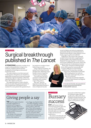

#### TRIAL SUCCESS

## Surgical breakthrough published in *The Lancet*

A PIONEERING trial led by a number of our surgeons and anaesthetists to improve the treatment of dialysis patients has been recognised in the prestigious international journal The Lancet.

The study, carried out over three years and involving about 130 patients, has resulted in a significantly increased rate of success for people undergoing a regional anaesthetic, rather than a general anaesthetic, to allow the insertion of a line to allow dialysis to take place.

The surgical procedure to create a fistula is carried out under either general anaesthetic or only a localised area of the patient's arm is numbed. For some patients this operation has to

be carried out a number of times before being successful.

Using a regional anaesthetic, the patient's arm is frozen from the shoulder down, delivering a huge benefit in terms of improved vascular access for patients.

Our small team was led by consultant anaesthetist Alan Macfarlane and consultant surgeon Marc Clancy.

Alan said: "These are important results that will deliver huge patient benefits in terms of improved vascular

access for dialysis and reduced complications, particularly catheter-associated bacteraemia. I think the study will have a major influence on how fistula surgery is performed worldwide."

Publication in The Lancet is also a personal accolade for the study author, surgical registrar Dr Emma Aitken, who is based at the Queen Elizabeth University Hospital. It is the first time she has been published in the journal, which only accepts five per cent of submissions it receives.

Emma said: "Journals are ranked by impact factor, which means how many people read it and how difficult it is to have research published, and *The Lancet* has a very high

impact factor. World leaders in their field will be reading about our work and this makes us feel extremely proud of what we've achieved."

Her study was funded by Darlinda's Charity for Renal Research and Regional Anaesthesia UK.

**>>** To view the full article, visit: www.thelancet. com/journals/lancet/article/PIIS0140- 6736(16)30948-5/abstract

SERVICE CHANGES

## Giving people a say

THE Board has approved patient and public engagement on potential service changes to Lightburn Hospital, Ward 15 at the RAH, the Centre for Integrated Care and the delivery services at the Vale and IRH Community Maternity Units.

The details of the proposals can be found on a dedicated section of the website at

www.nhsggc.org.uk/getinvolved We will be arranging a number of events that will enable patients and the public to offer their views. These will be separate to the arrangements for staff that we expect staff to use to have their say, and which will be communicated to you as we move engagement forward from the beginning of September.

#### STAFF SUPPORT



OUR staff bursary scheme attracted huge interest again this year and now 295 applicants have been approved who will see £316,695 paid out to help fund studies and educational qualifications.

The scheme is funded with staff endowment monies and this year the maximum single grant was

increased to £1500. Most applied for funding for higher degree qualifications, followed by others studying in further education, and staff who applied for funding for degree or post graduate courses.

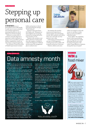# Stepping up personal care

#### A RENEWED focus on

personalised care for older people is under way to ensure a standard and consistent approach to assessing all patients at risk of delirium on arrival in hospital.

Delirium is a severe state of confusion and early diagnosis is important to allow treatment to begin as soon as possible to prevent further complications, which can often lead to a longer hospital stay.

You will start to notice the arrival of Health Improvement Scotland

leaflets and posters in clinical areas promoting the message "Think Delirium".

Assistant chief nurse Fiona McCluskey, said: "All patients at risk of delirium are now being screened by nursing staff and at each transition of care.

"Patients with a positive score will be referred to medical staff, who will complete a checklist to confirm the diagnosis of delirium and document the management plan in medical notes."



The initiative also involves unannounced inspections to observe patient care and training records, talk to patients and visitors about care, and make sure that practice is up to date.

Staff training and education are also part of the programme, covering issues such as adults with incapacity and power of attorney. Patients, relatives and carers

will be encouraged to work with nurses on care plans to tailor them as much as possible to individual needs.

Fiona added: "The underlying theme is about personalising care, moving away from simply delivering clinical care to also focusing on the person. This makes a huge difference to patients during their stay in hospital."

## **GLOBAL ADDRESS LIST** Data amnesty month

**THIS** month sees the introduction of our first Data Amnesty Month, an amnesty for everyone whose information is currently out of date on the global address list (GAL).

Rather than receive the standard email "YOU MUST COMPLY OR YOU WILL BE DELETED" (must be read in a robotic voice) message, Data Amnesty Month gives you the opportunity to take control of your own information and show the rest of the organisation that you're proud of your role and that you want people to be able to contact you when they need to.

Launching the initiative, Anne MacPherson, director of human resources and organisational development, said: "We've all been there: you need to contact someone... all you need is their phone number... you check the GAL... there's the number... you dial and... they no longer work there!

"This can set you off on a virtual mystery tour across the organisation as you're passed from one area to another trying to contact your original person – what should have been simple becomes time consuming and frustrating.

"In an organisation of our size, it's extremely important that we are all able to contact one another easily, we should all be able to follow and understand the hierarchy within our own services – who works where and how to reach them.

"This amnesty is the first step in helping us to produce a fully populated searchable, accurate directory. It will give us the ability to send targeted messages, announcements and electronic forms to staff based on their own information; site, department, division or job rather than sending out 'blanket emails'. The

improved directory information will also help reduce missed communications and assist us with improved reporting functions on staff details for iMatter, eEss, Datix etc.

"We all know who we are and where we work, so let's make sure all of our colleagues know this too."

**STEP 1:** Check your details on the GAL – do they accurately reflect who you are, name, telephone number, base, line manager, job title. Even if you think your details are up to date, please check – it's particularly important who you've assigned as your line manager.

**STEP 2:** Click on the data amnesty button on the front page of StaffNet and fill in your details and hit submit – it's that easy.

**STEP 3**: Sit back and be in with a chance to win £20 in gift vouchers every month, donated by our friends in Staff Benefits, just for having your own information accurate and up to date – what could be easier?

So don't delay – update YOUR data today!



## **WIN** a food mixer



WE have a great opportunity to join the latest baking craze and win a KitchenAid Artisan Mixer. For a chance to win, simply answer this question: **What is the name of the new employee director?** Email your answer, name and work location to: competitions @ggc.scot.nhs.uk or send to: Corporate Communications, JB Russell House, Gartnavel Campus, 1055 Great Western Road, Glasgow G12 0XH.

**>>** T&C: Competition is open to all NHSGGC employees. Only one entry per person. Winners must be available for a photograph, which may be printed with their details in *SN*. The closing date for entries is 30 September 2016. Prizes must be claimed within **four weeks of the closing date**.